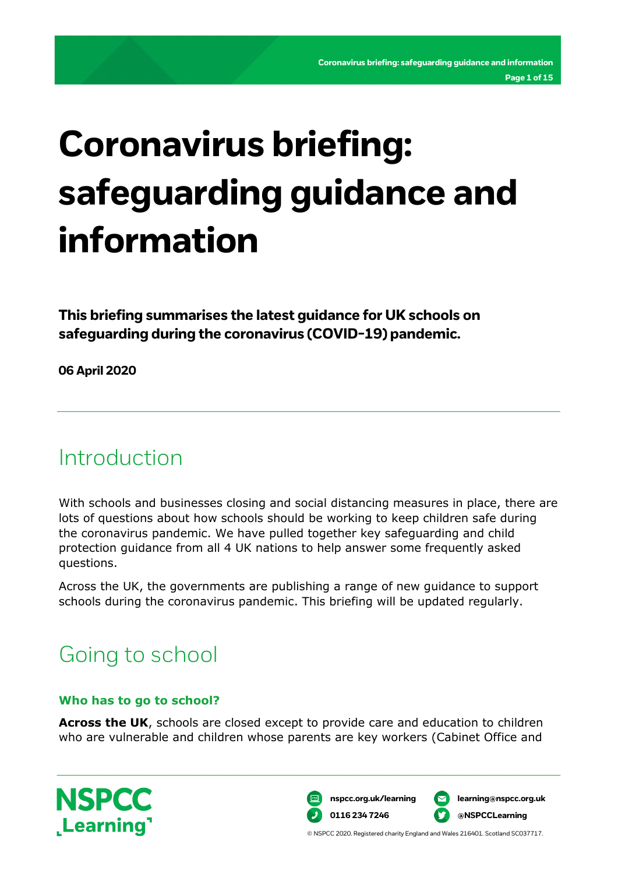# **Coronavirus briefing: safeguarding guidance and information**

**This briefing summarises the latest guidance for UK schools on safeguarding during the coronavirus (COVID-19) pandemic.**

**06 April 2020**

# Introduction

With schools and businesses closing and social distancing measures in place, there are lots of questions about how schools should be working to keep children safe during the coronavirus pandemic. We have pulled together key safeguarding and child protection guidance from all 4 UK nations to help answer some frequently asked questions.

Across the UK, the governments are publishing a range of new guidance to support schools during the coronavirus pandemic. This briefing will be updated regularly.

# Going to school

#### **Who has to go to school?**

**Across the UK**, schools are closed except to provide care and education to children who are vulnerable and children whose parents are key workers (Cabinet Office and



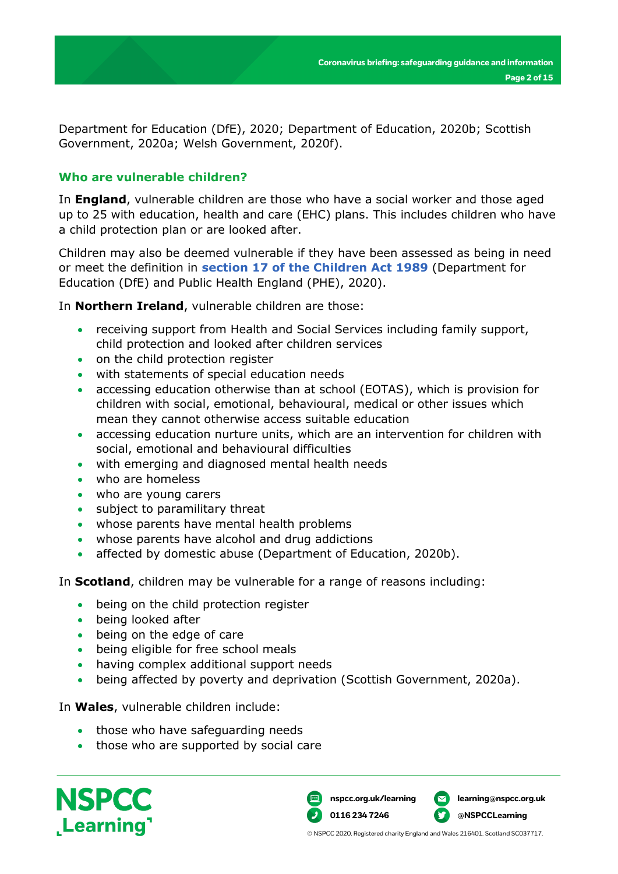Department for Education (DfE), 2020; Department of Education, 2020b; Scottish Government, 2020a; Welsh Government, 2020f).

#### **Who are vulnerable children?**

In **England**, vulnerable children are those who have a social worker and those aged up to 25 with education, health and care (EHC) plans. This includes children who have a child protection plan or are looked after.

Children may also be deemed vulnerable if they have been assessed as being in need or meet the definition in **[section 17 of the Children Act 1989](http://www.legislation.gov.uk/ukpga/1989/41/section/17)** (Department for Education (DfE) and Public Health England (PHE), 2020).

In **Northern Ireland**, vulnerable children are those:

- receiving support from Health and Social Services including family support, child protection and looked after children services
- on the child protection register
- with statements of special education needs
- accessing education otherwise than at school (EOTAS), which is provision for children with social, emotional, behavioural, medical or other issues which mean they cannot otherwise access suitable education
- accessing education nurture units, which are an intervention for children with social, emotional and behavioural difficulties
- with emerging and diagnosed mental health needs
- who are homeless
- who are young carers
- subject to paramilitary threat
- whose parents have mental health problems
- whose parents have alcohol and drug addictions
- affected by domestic abuse (Department of Education, 2020b).

In **Scotland**, children may be vulnerable for a range of reasons including:

- being on the child protection register
- being looked after
- being on the edge of care
- being eligible for free school meals
- having complex additional support needs
- being affected by poverty and deprivation (Scottish Government, 2020a).

In **Wales**, vulnerable children include:

- those who have safeguarding needs
- those who are supported by social care



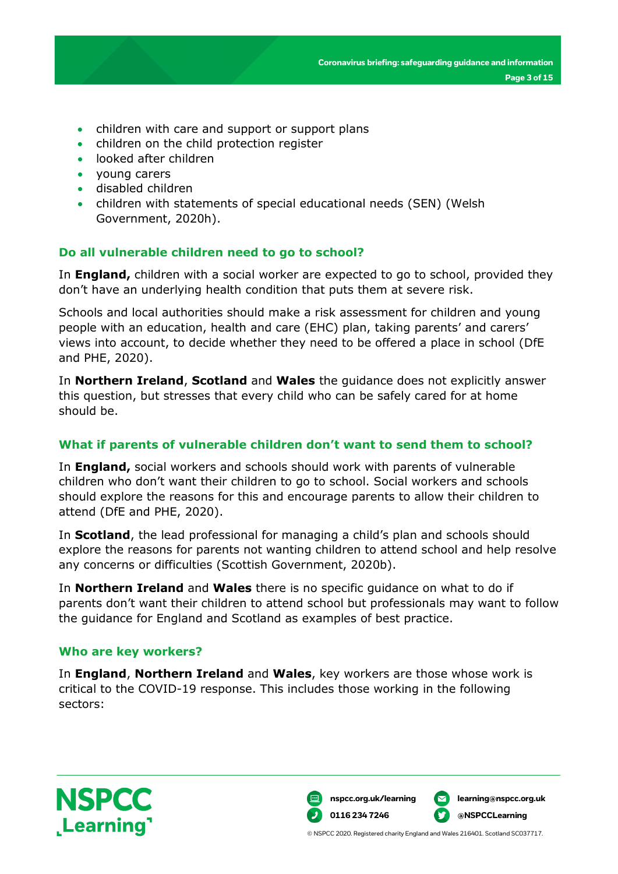- children with care and support or support plans
- children on the child protection register
- looked after children
- young carers
- disabled children
- children with statements of special educational needs (SEN) (Welsh Government, 2020h).

#### **Do all vulnerable children need to go to school?**

In **England,** children with a social worker are expected to go to school, provided they don't have an underlying health condition that puts them at severe risk.

Schools and local authorities should make a risk assessment for children and young people with an education, health and care (EHC) plan, taking parents' and carers' views into account, to decide whether they need to be offered a place in school (DfE and PHE, 2020).

In **Northern Ireland**, **Scotland** and **Wales** the guidance does not explicitly answer this question, but stresses that every child who can be safely cared for at home should be.

#### **What if parents of vulnerable children don't want to send them to school?**

In **England,** social workers and schools should work with parents of vulnerable children who don't want their children to go to school. Social workers and schools should explore the reasons for this and encourage parents to allow their children to attend (DfE and PHE, 2020).

In **Scotland**, the lead professional for managing a child's plan and schools should explore the reasons for parents not wanting children to attend school and help resolve any concerns or difficulties (Scottish Government, 2020b).

In **Northern Ireland** and **Wales** there is no specific guidance on what to do if parents don't want their children to attend school but professionals may want to follow the guidance for England and Scotland as examples of best practice.

#### **Who are key workers?**

In **England**, **Northern Ireland** and **Wales**, key workers are those whose work is critical to the COVID-19 response. This includes those working in the following sectors:



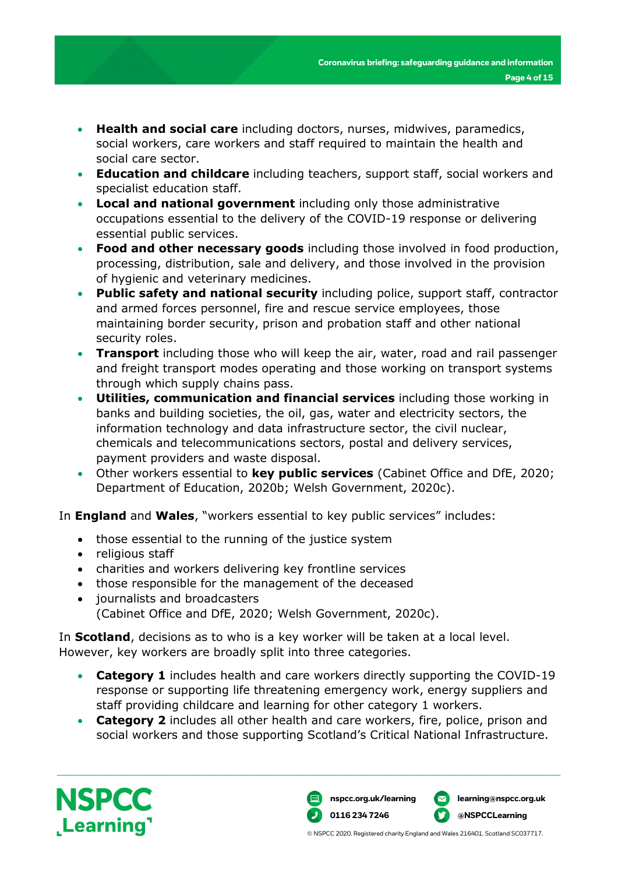- **Health and social care** including doctors, nurses, midwives, paramedics, social workers, care workers and staff required to maintain the health and social care sector.
- **Education and childcare** including teachers, support staff, social workers and specialist education staff.
- **Local and national government** including only those administrative occupations essential to the delivery of the COVID-19 response or delivering essential public services.
- **Food and other necessary goods** including those involved in food production, processing, distribution, sale and delivery, and those involved in the provision of hygienic and veterinary medicines.
- **Public safety and national security** including police, support staff, contractor and armed forces personnel, fire and rescue service employees, those maintaining border security, prison and probation staff and other national security roles.
- **Transport** including those who will keep the air, water, road and rail passenger and freight transport modes operating and those working on transport systems through which supply chains pass.
- **Utilities, communication and financial services** including those working in banks and building societies, the oil, gas, water and electricity sectors, the information technology and data infrastructure sector, the civil nuclear, chemicals and telecommunications sectors, postal and delivery services, payment providers and waste disposal.
- Other workers essential to **key public services** (Cabinet Office and DfE, 2020; Department of Education, 2020b; Welsh Government, 2020c).

In **England** and **Wales**, "workers essential to key public services" includes:

- those essential to the running of the justice system
- religious staff
- charities and workers delivering key frontline services
- those responsible for the management of the deceased
- journalists and broadcasters (Cabinet Office and DfE, 2020; Welsh Government, 2020c).

In **Scotland**, decisions as to who is a key worker will be taken at a local level. However, key workers are broadly split into three categories.

- **Category 1** includes health and care workers directly supporting the COVID-19 response or supporting life threatening emergency work, energy suppliers and staff providing childcare and learning for other category 1 workers.
- **Category 2** includes all other health and care workers, fire, police, prison and social workers and those supporting Scotland's Critical National Infrastructure.



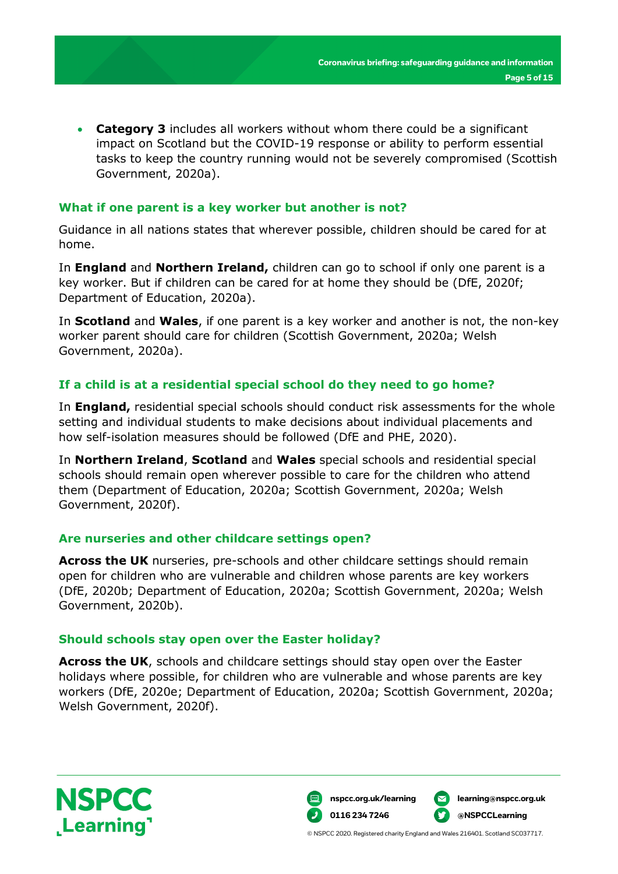• **Category 3** includes all workers without whom there could be a significant impact on Scotland but the COVID-19 response or ability to perform essential tasks to keep the country running would not be severely compromised (Scottish Government, 2020a).

#### **What if one parent is a key worker but another is not?**

Guidance in all nations states that wherever possible, children should be cared for at home.

In **England** and **Northern Ireland,** children can go to school if only one parent is a key worker. But if children can be cared for at home they should be (DfE, 2020f; Department of Education, 2020a).

In **Scotland** and **Wales**, if one parent is a key worker and another is not, the non-key worker parent should care for children (Scottish Government, 2020a; Welsh Government, 2020a).

#### **If a child is at a residential special school do they need to go home?**

In **England,** residential special schools should conduct risk assessments for the whole setting and individual students to make decisions about individual placements and how self-isolation measures should be followed (DfE and PHE, 2020).

In **Northern Ireland**, **Scotland** and **Wales** special schools and residential special schools should remain open wherever possible to care for the children who attend them (Department of Education, 2020a; Scottish Government, 2020a; Welsh Government, 2020f).

#### **Are nurseries and other childcare settings open?**

**Across the UK** nurseries, pre-schools and other childcare settings should remain open for children who are vulnerable and children whose parents are key workers (DfE, 2020b; Department of Education, 2020a; Scottish Government, 2020a; Welsh Government, 2020b).

#### **Should schools stay open over the Easter holiday?**

**Across the UK**, schools and childcare settings should stay open over the Easter holidays where possible, for children who are vulnerable and whose parents are key workers (DfE, 2020e; Department of Education, 2020a; Scottish Government, 2020a; Welsh Government, 2020f).



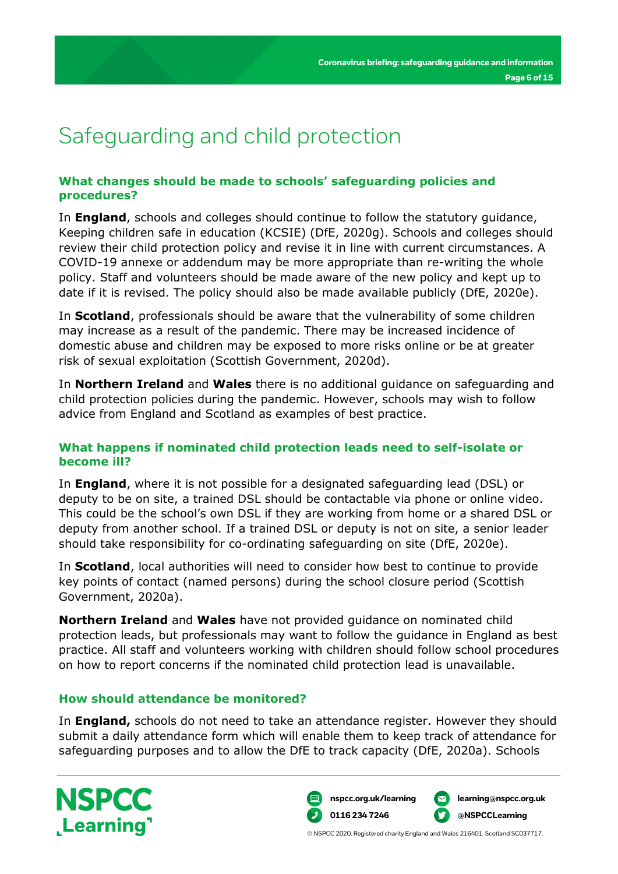# Safeguarding and child protection

#### **What changes should be made to schools' safeguarding policies and procedures?**

In **England**, schools and colleges should continue to follow the statutory guidance, Keeping children safe in education (KCSIE) (DfE, 2020g). Schools and colleges should review their child protection policy and revise it in line with current circumstances. A COVID-19 annexe or addendum may be more appropriate than re-writing the whole policy. Staff and volunteers should be made aware of the new policy and kept up to date if it is revised. The policy should also be made available publicly (DfE, 2020e).

In **Scotland**, professionals should be aware that the vulnerability of some children may increase as a result of the pandemic. There may be increased incidence of domestic abuse and children may be exposed to more risks online or be at greater risk of sexual exploitation (Scottish Government, 2020d).

In **Northern Ireland** and **Wales** there is no additional guidance on safeguarding and child protection policies during the pandemic. However, schools may wish to follow advice from England and Scotland as examples of best practice.

#### **What happens if nominated child protection leads need to self-isolate or become ill?**

In **England**, where it is not possible for a designated safeguarding lead (DSL) or deputy to be on site, a trained DSL should be contactable via phone or online video. This could be the school's own DSL if they are working from home or a shared DSL or deputy from another school. If a trained DSL or deputy is not on site, a senior leader should take responsibility for co-ordinating safeguarding on site (DfE, 2020e).

In **Scotland**, local authorities will need to consider how best to continue to provide key points of contact (named persons) during the school closure period (Scottish Government, 2020a).

**Northern Ireland** and **Wales** have not provided guidance on nominated child protection leads, but professionals may want to follow the guidance in England as best practice. All staff and volunteers working with children should follow school procedures on how to report concerns if the nominated child protection lead is unavailable.

#### **How should attendance be monitored?**

In **England,** schools do not need to take an attendance register. However they should submit a daily attendance form which will enable them to keep track of attendance for safeguarding purposes and to allow the DfE to track capacity (DfE, 2020a). Schools



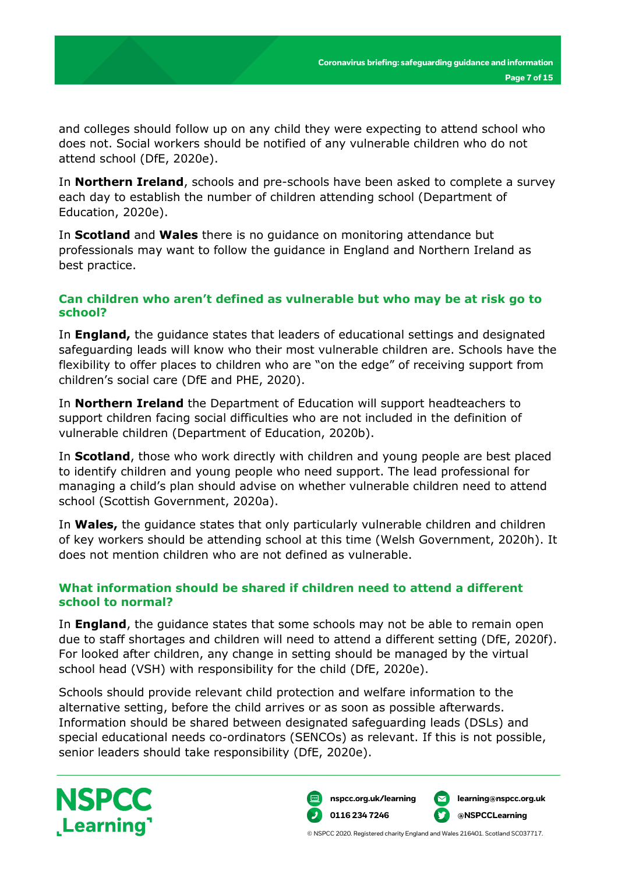and colleges should follow up on any child they were expecting to attend school who does not. Social workers should be notified of any vulnerable children who do not attend school (DfE, 2020e).

In **Northern Ireland**, schools and pre-schools have been asked to complete a survey each day to establish the number of children attending school (Department of Education, 2020e).

In **Scotland** and **Wales** there is no guidance on monitoring attendance but professionals may want to follow the guidance in England and Northern Ireland as best practice.

#### **Can children who aren't defined as vulnerable but who may be at risk go to school?**

In **England,** the guidance states that leaders of educational settings and designated safeguarding leads will know who their most vulnerable children are. Schools have the flexibility to offer places to children who are "on the edge" of receiving support from children's social care (DfE and PHE, 2020).

In **Northern Ireland** the Department of Education will support headteachers to support children facing social difficulties who are not included in the definition of vulnerable children (Department of Education, 2020b).

In **Scotland**, those who work directly with children and young people are best placed to identify children and young people who need support. The lead professional for managing a child's plan should advise on whether vulnerable children need to attend school (Scottish Government, 2020a).

In **Wales,** the guidance states that only particularly vulnerable children and children of key workers should be attending school at this time (Welsh Government, 2020h). It does not mention children who are not defined as vulnerable.

#### **What information should be shared if children need to attend a different school to normal?**

In **England**, the guidance states that some schools may not be able to remain open due to staff shortages and children will need to attend a different setting (DfE, 2020f). For looked after children, any change in setting should be managed by the virtual school head (VSH) with responsibility for the child (DfE, 2020e).

Schools should provide relevant child protection and welfare information to the alternative setting, before the child arrives or as soon as possible afterwards. Information should be shared between designated safeguarding leads (DSLs) and special educational needs co-ordinators (SENCOs) as relevant. If this is not possible, senior leaders should take responsibility (DfE, 2020e).



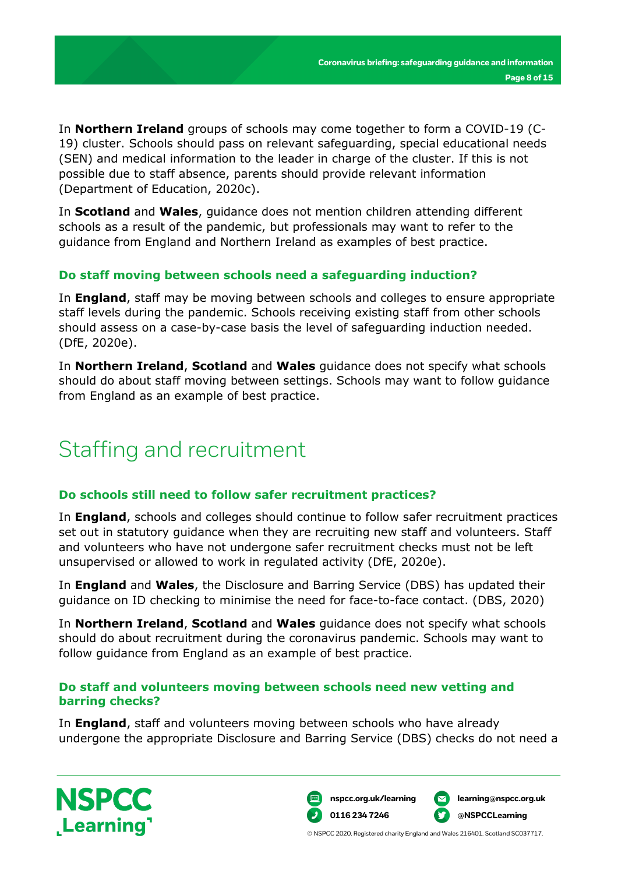In **Northern Ireland** groups of schools may come together to form a COVID-19 (C-19) cluster. Schools should pass on relevant safeguarding, special educational needs (SEN) and medical information to the leader in charge of the cluster. If this is not possible due to staff absence, parents should provide relevant information (Department of Education, 2020c).

In **Scotland** and **Wales**, guidance does not mention children attending different schools as a result of the pandemic, but professionals may want to refer to the guidance from England and Northern Ireland as examples of best practice.

#### **Do staff moving between schools need a safeguarding induction?**

In **England**, staff may be moving between schools and colleges to ensure appropriate staff levels during the pandemic. Schools receiving existing staff from other schools should assess on a case-by-case basis the level of safeguarding induction needed. (DfE, 2020e).

In **Northern Ireland**, **Scotland** and **Wales** guidance does not specify what schools should do about staff moving between settings. Schools may want to follow guidance from England as an example of best practice.

# Staffing and recruitment

#### **Do schools still need to follow safer recruitment practices?**

In **England**, schools and colleges should continue to follow safer recruitment practices set out in statutory guidance when they are recruiting new staff and volunteers. Staff and volunteers who have not undergone safer recruitment checks must not be left unsupervised or allowed to work in regulated activity (DfE, 2020e).

In **England** and **Wales**, the Disclosure and Barring Service (DBS) has updated their guidance on ID checking to minimise the need for face-to-face contact. (DBS, 2020)

In **Northern Ireland**, **Scotland** and **Wales** guidance does not specify what schools should do about recruitment during the coronavirus pandemic. Schools may want to follow guidance from England as an example of best practice.

#### **Do staff and volunteers moving between schools need new vetting and barring checks?**

In **England**, staff and volunteers moving between schools who have already undergone the appropriate Disclosure and Barring Service (DBS) checks do not need a



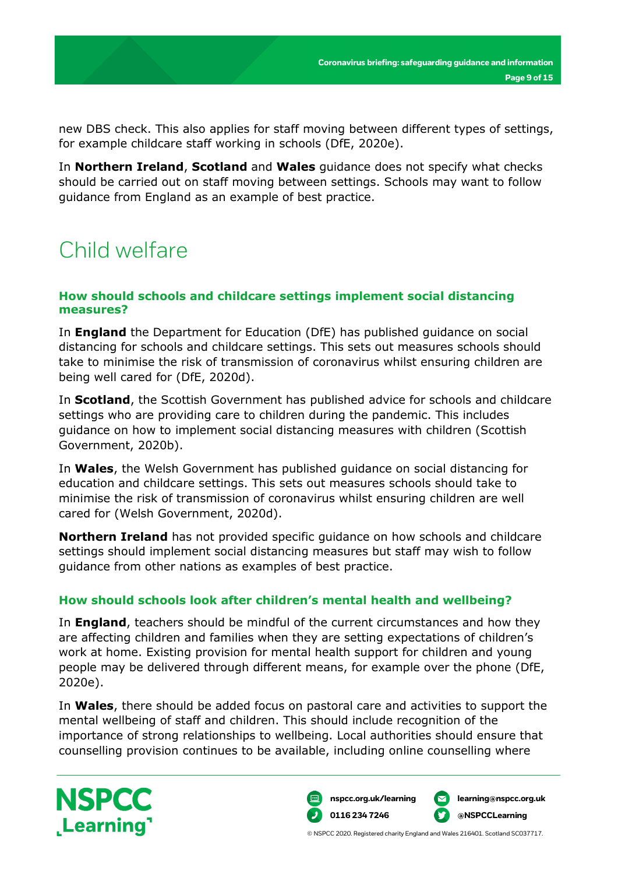new DBS check. This also applies for staff moving between different types of settings, for example childcare staff working in schools (DfE, 2020e).

In **Northern Ireland**, **Scotland** and **Wales** guidance does not specify what checks should be carried out on staff moving between settings. Schools may want to follow guidance from England as an example of best practice.

# Child welfare

#### **How should schools and childcare settings implement social distancing measures?**

In **England** the Department for Education (DfE) has published guidance on social distancing for schools and childcare settings. This sets out measures schools should take to minimise the risk of transmission of coronavirus whilst ensuring children are being well cared for (DfE, 2020d).

In **Scotland**, the Scottish Government has published advice for schools and childcare settings who are providing care to children during the pandemic. This includes guidance on how to implement social distancing measures with children (Scottish Government, 2020b).

In **Wales**, the Welsh Government has published guidance on social distancing for education and childcare settings. This sets out measures schools should take to minimise the risk of transmission of coronavirus whilst ensuring children are well cared for (Welsh Government, 2020d).

**Northern Ireland** has not provided specific guidance on how schools and childcare settings should implement social distancing measures but staff may wish to follow guidance from other nations as examples of best practice.

#### **How should schools look after children's mental health and wellbeing?**

In **England**, teachers should be mindful of the current circumstances and how they are affecting children and families when they are setting expectations of children's work at home. Existing provision for mental health support for children and young people may be delivered through different means, for example over the phone (DfE, 2020e).

In **Wales**, there should be added focus on pastoral care and activities to support the mental wellbeing of staff and children. This should include recognition of the importance of strong relationships to wellbeing. Local authorities should ensure that counselling provision continues to be available, including online counselling where



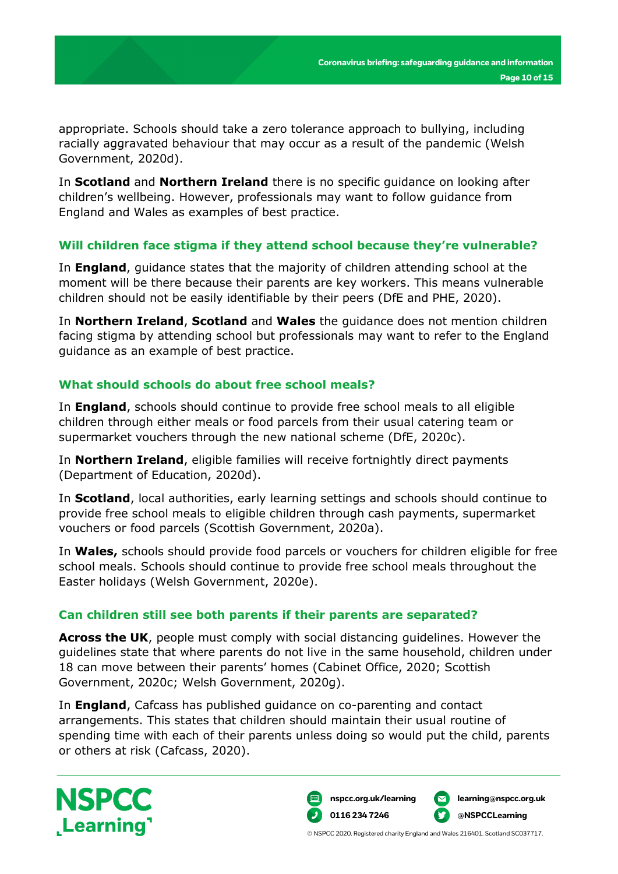appropriate. Schools should take a zero tolerance approach to bullying, including racially aggravated behaviour that may occur as a result of the pandemic (Welsh Government, 2020d).

In **Scotland** and **Northern Ireland** there is no specific guidance on looking after children's wellbeing. However, professionals may want to follow guidance from England and Wales as examples of best practice.

#### **Will children face stigma if they attend school because they're vulnerable?**

In **England**, guidance states that the majority of children attending school at the moment will be there because their parents are key workers. This means vulnerable children should not be easily identifiable by their peers (DfE and PHE, 2020).

In **Northern Ireland**, **Scotland** and **Wales** the guidance does not mention children facing stigma by attending school but professionals may want to refer to the England guidance as an example of best practice.

#### **What should schools do about free school meals?**

In **England**, schools should continue to provide free school meals to all eligible children through either meals or food parcels from their usual catering team or supermarket vouchers through the new national scheme (DfE, 2020c).

In **Northern Ireland**, eligible families will receive fortnightly direct payments (Department of Education, 2020d).

In **Scotland**, local authorities, early learning settings and schools should continue to provide free school meals to eligible children through cash payments, supermarket vouchers or food parcels (Scottish Government, 2020a).

In **Wales,** schools should provide food parcels or vouchers for children eligible for free school meals. Schools should continue to provide free school meals throughout the Easter holidays (Welsh Government, 2020e).

#### **Can children still see both parents if their parents are separated?**

**Across the UK**, people must comply with social distancing guidelines. However the guidelines state that where parents do not live in the same household, children under 18 can move between their parents' homes (Cabinet Office, 2020; Scottish Government, 2020c; Welsh Government, 2020g).

In **England**, Cafcass has published guidance on co-parenting and contact arrangements. This states that children should maintain their usual routine of spending time with each of their parents unless doing so would put the child, parents or others at risk (Cafcass, 2020).



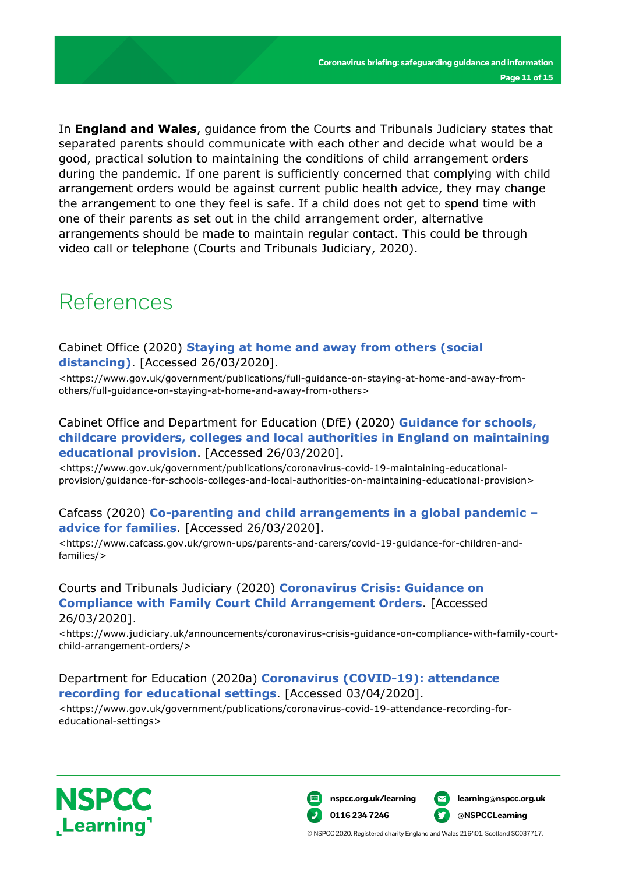In **England and Wales**, guidance from the Courts and Tribunals Judiciary states that separated parents should communicate with each other and decide what would be a good, practical solution to maintaining the conditions of child arrangement orders during the pandemic. If one parent is sufficiently concerned that complying with child arrangement orders would be against current public health advice, they may change the arrangement to one they feel is safe. If a child does not get to spend time with one of their parents as set out in the child arrangement order, alternative arrangements should be made to maintain regular contact. This could be through video call or telephone (Courts and Tribunals Judiciary, 2020).

### References

#### Cabinet Office (2020) **[Staying at home and away from others \(social](https://www.gov.uk/government/publications/full-guidance-on-staying-at-home-and-away-from-others/full-guidance-on-staying-at-home-and-away-from-others)  [distancing\)](https://www.gov.uk/government/publications/full-guidance-on-staying-at-home-and-away-from-others/full-guidance-on-staying-at-home-and-away-from-others)**. [Accessed 26/03/2020].

<https://www.gov.uk/government/publications/full-guidance-on-staying-at-home-and-away-fromothers/full-guidance-on-staying-at-home-and-away-from-others>

#### Cabinet Office and Department for Education (DfE) (2020) **[Guidance for schools,](https://www.gov.uk/government/publications/coronavirus-covid-19-maintaining-educational-provision/guidance-for-schools-colleges-and-local-authorities-on-maintaining-educational-provision)  childcare providers, colleges and [local authorities in England on maintaining](https://www.gov.uk/government/publications/coronavirus-covid-19-maintaining-educational-provision/guidance-for-schools-colleges-and-local-authorities-on-maintaining-educational-provision)  [educational provision](https://www.gov.uk/government/publications/coronavirus-covid-19-maintaining-educational-provision/guidance-for-schools-colleges-and-local-authorities-on-maintaining-educational-provision)**. [Accessed 26/03/2020].

<https://www.gov.uk/government/publications/coronavirus-covid-19-maintaining-educationalprovision/guidance-for-schools-colleges-and-local-authorities-on-maintaining-educational-provision>

#### Cafcass (2020) **[Co-parenting and child arrangements in a global pandemic –](https://www.cafcass.gov.uk/grown-ups/parents-and-carers/covid-19-guidance-for-children-and-families/) [advice for families](https://www.cafcass.gov.uk/grown-ups/parents-and-carers/covid-19-guidance-for-children-and-families/)**. [Accessed 26/03/2020].

<https://www.cafcass.gov.uk/grown-ups/parents-and-carers/covid-19-guidance-for-children-andfamilies/>

#### Courts and Tribunals Judiciary (2020) **[Coronavirus Crisis: Guidance on](https://www.judiciary.uk/announcements/coronavirus-crisis-guidance-on-compliance-with-family-court-child-arrangement-orders/)  [Compliance with Family Court Child Arrangement Orders](https://www.judiciary.uk/announcements/coronavirus-crisis-guidance-on-compliance-with-family-court-child-arrangement-orders/)**. [Accessed 26/03/2020].

<https://www.judiciary.uk/announcements/coronavirus-crisis-guidance-on-compliance-with-family-courtchild-arrangement-orders/>

#### Department for Education (2020a) **[Coronavirus \(COVID-19\): attendance](https://www.gov.uk/government/publications/coronavirus-covid-19-attendance-recording-for-educational-settings)  [recording for educational settings](https://www.gov.uk/government/publications/coronavirus-covid-19-attendance-recording-for-educational-settings)**. [Accessed 03/04/2020].

<https://www.gov.uk/government/publications/coronavirus-covid-19-attendance-recording-foreducational-settings>



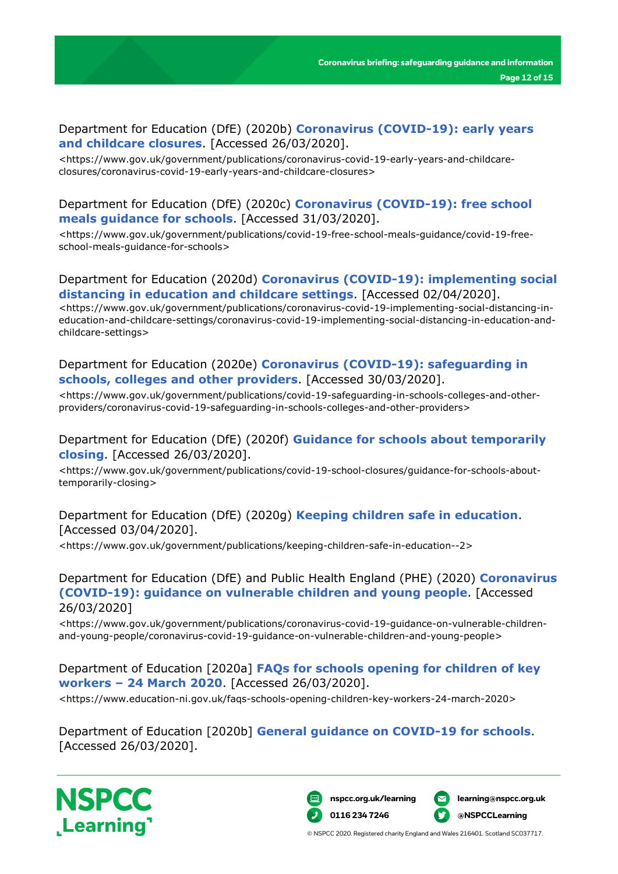#### Department for Education (DfE) (2020b) **[Coronavirus \(COVID-19\): early years](https://www.gov.uk/government/publications/coronavirus-covid-19-early-years-and-childcare-closures/coronavirus-covid-19-early-years-and-childcare-closures)  [and childcare closures](https://www.gov.uk/government/publications/coronavirus-covid-19-early-years-and-childcare-closures/coronavirus-covid-19-early-years-and-childcare-closures)**. [Accessed 26/03/2020].

<https://www.gov.uk/government/publications/coronavirus-covid-19-early-years-and-childcareclosures/coronavirus-covid-19-early-years-and-childcare-closures>

#### Department for Education (DfE) (2020c) **[Coronavirus \(COVID-19\): free school](https://www.gov.uk/government/publications/covid-19-free-school-meals-guidance/covid-19-free-school-meals-guidance-for-schools)  [meals guidance for schools](https://www.gov.uk/government/publications/covid-19-free-school-meals-guidance/covid-19-free-school-meals-guidance-for-schools)**. [Accessed 31/03/2020].

<https://www.gov.uk/government/publications/covid-19-free-school-meals-guidance/covid-19-freeschool-meals-guidance-for-schools>

#### Department for Education (2020d) **[Coronavirus \(COVID-19\):](https://www.gov.uk/government/publications/coronavirus-covid-19-implementing-social-distancing-in-education-and-childcare-settings/coronavirus-covid-19-implementing-social-distancing-in-education-and-childcare-settings) implementing social [distancing in education and childcare settings](https://www.gov.uk/government/publications/coronavirus-covid-19-implementing-social-distancing-in-education-and-childcare-settings/coronavirus-covid-19-implementing-social-distancing-in-education-and-childcare-settings)**. [Accessed 02/04/2020].

<https://www.gov.uk/government/publications/coronavirus-covid-19-implementing-social-distancing-ineducation-and-childcare-settings/coronavirus-covid-19-implementing-social-distancing-in-education-andchildcare-settings>

#### Department for Education (2020e) **[Coronavirus \(COVID-19\): safeguarding in](https://www.gov.uk/government/publications/covid-19-safeguarding-in-schools-colleges-and-other-providers/coronavirus-covid-19-safeguarding-in-schools-colleges-and-other-providers)  [schools, colleges and other providers](https://www.gov.uk/government/publications/covid-19-safeguarding-in-schools-colleges-and-other-providers/coronavirus-covid-19-safeguarding-in-schools-colleges-and-other-providers)**. [Accessed 30/03/2020].

<https://www.gov.uk/government/publications/covid-19-safeguarding-in-schools-colleges-and-otherproviders/coronavirus-covid-19-safeguarding-in-schools-colleges-and-other-providers>

#### Department for Education (DfE) (2020f) **[Guidance for schools about temporarily](https://www.gov.uk/government/publications/covid-19-school-closures/guidance-for-schools-about-temporarily-closing)  [closing](https://www.gov.uk/government/publications/covid-19-school-closures/guidance-for-schools-about-temporarily-closing)**. [Accessed 26/03/2020].

<https://www.gov.uk/government/publications/covid-19-school-closures/guidance-for-schools-abouttemporarily-closing>

#### Department for Education (DfE) (2020g) **[Keeping children safe in education](https://www.gov.uk/government/publications/keeping-children-safe-in-education--2)**. [Accessed 03/04/2020].

<https://www.gov.uk/government/publications/keeping-children-safe-in-education--2>

Department for Education (DfE) and Public Health England (PHE) (2020) **[Coronavirus](https://www.gov.uk/government/publications/coronavirus-covid-19-guidance-on-vulnerable-children-and-young-people/coronavirus-covid-19-guidance-on-vulnerable-children-and-young-people)  [\(COVID-19\): guidance on vulnerable children and young people](https://www.gov.uk/government/publications/coronavirus-covid-19-guidance-on-vulnerable-children-and-young-people/coronavirus-covid-19-guidance-on-vulnerable-children-and-young-people)**. [Accessed 26/03/2020]

<https://www.gov.uk/government/publications/coronavirus-covid-19-guidance-on-vulnerable-childrenand-young-people/coronavirus-covid-19-guidance-on-vulnerable-children-and-young-people>

Department of Education [2020a] **[FAQs for schools opening for children of key](https://www.education-ni.gov.uk/faqs-schools-opening-children-key-workers-24-march-2020)  workers – [24 March 2020](https://www.education-ni.gov.uk/faqs-schools-opening-children-key-workers-24-march-2020)**. [Accessed 26/03/2020].

<https://www.education-ni.gov.uk/faqs-schools-opening-children-key-workers-24-march-2020>

Department of Education [2020b] **[General guidance on COVID-19 for schools](https://www.education-ni.gov.uk/general-guidance-covid-19-schools)**. [Accessed 26/03/2020].



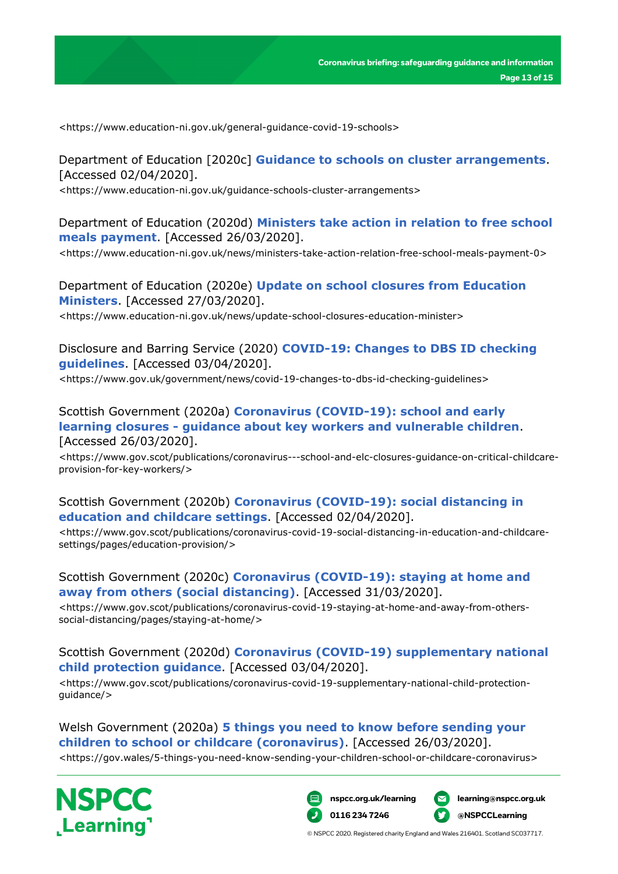<https://www.education-ni.gov.uk/general-guidance-covid-19-schools>

Department of Education [2020c] **[Guidance to schools on cluster arrangements](https://www.education-ni.gov.uk/guidance-schools-cluster-arrangements)**. [Accessed 02/04/2020].

<https://www.education-ni.gov.uk/guidance-schools-cluster-arrangements>

Department of Education (2020d) **[Ministers take action in relation to free school](https://www.education-ni.gov.uk/news/ministers-take-action-relation-free-school-meals-payment-0)  [meals payment](https://www.education-ni.gov.uk/news/ministers-take-action-relation-free-school-meals-payment-0)**. [Accessed 26/03/2020].

<https://www.education-ni.gov.uk/news/ministers-take-action-relation-free-school-meals-payment-0>

Department of Education (2020e) **[Update on school closures from Education](https://www.education-ni.gov.uk/news/update-school-closures-education-minister)  [Ministers](https://www.education-ni.gov.uk/news/update-school-closures-education-minister)**. [Accessed 27/03/2020].

<https://www.education-ni.gov.uk/news/update-school-closures-education-minister>

Disclosure and Barring Service (2020) **[COVID-19: Changes to DBS ID checking](https://www.gov.uk/government/news/covid-19-changes-to-dbs-id-checking-guidelines)  [guidelines](https://www.gov.uk/government/news/covid-19-changes-to-dbs-id-checking-guidelines)**. [Accessed 03/04/2020].

<https://www.gov.uk/government/news/covid-19-changes-to-dbs-id-checking-guidelines>

#### Scottish Government (2020a) **[Coronavirus \(COVID-19\): school and early](https://www.gov.scot/publications/coronavirus---school-and-elc-closures-guidance-on-critical-childcare-provision-for-key-workers/)  learning closures - [guidance about key workers and vulnerable children](https://www.gov.scot/publications/coronavirus---school-and-elc-closures-guidance-on-critical-childcare-provision-for-key-workers/)**. [Accessed 26/03/2020].

<https://www.gov.scot/publications/coronavirus---school-and-elc-closures-guidance-on-critical-childcareprovision-for-key-workers/>

#### Scottish Government (2020b) **[Coronavirus \(COVID-19\): social distancing in](https://www.gov.scot/publications/coronavirus-covid-19-social-distancing-in-education-and-childcare-settings/pages/education-provision/)  [education and childcare settings](https://www.gov.scot/publications/coronavirus-covid-19-social-distancing-in-education-and-childcare-settings/pages/education-provision/)**. [Accessed 02/04/2020].

<https://www.gov.scot/publications/coronavirus-covid-19-social-distancing-in-education-and-childcaresettings/pages/education-provision/>

#### Scottish Government (2020c) **[Coronavirus \(COVID-19\): staying at home and](https://www.gov.scot/publications/coronavirus-covid-19-staying-at-home-and-away-from-others-social-distancing/pages/staying-at-home/)  [away from others \(social distancing\)](https://www.gov.scot/publications/coronavirus-covid-19-staying-at-home-and-away-from-others-social-distancing/pages/staying-at-home/)**. [Accessed 31/03/2020].

<https://www.gov.scot/publications/coronavirus-covid-19-staying-at-home-and-away-from-otherssocial-distancing/pages/staying-at-home/>

Scottish Government (2020d) **[Coronavirus \(COVID-19\) supplementary national](https://www.gov.scot/publications/coronavirus-covid-19-supplementary-national-child-protection-guidance/)  [child protection guidance](https://www.gov.scot/publications/coronavirus-covid-19-supplementary-national-child-protection-guidance/)**. [Accessed 03/04/2020].

<https://www.gov.scot/publications/coronavirus-covid-19-supplementary-national-child-protectionguidance/>

Welsh Government (2020a) **[5 things you need to know before sending your](https://gov.wales/5-things-you-need-know-sending-your-children-school-or-childcare-coronavirus)  [children to school or childcare \(coronavirus\)](https://gov.wales/5-things-you-need-know-sending-your-children-school-or-childcare-coronavirus)**. [Accessed 26/03/2020]. <https://gov.wales/5-things-you-need-know-sending-your-children-school-or-childcare-coronavirus>





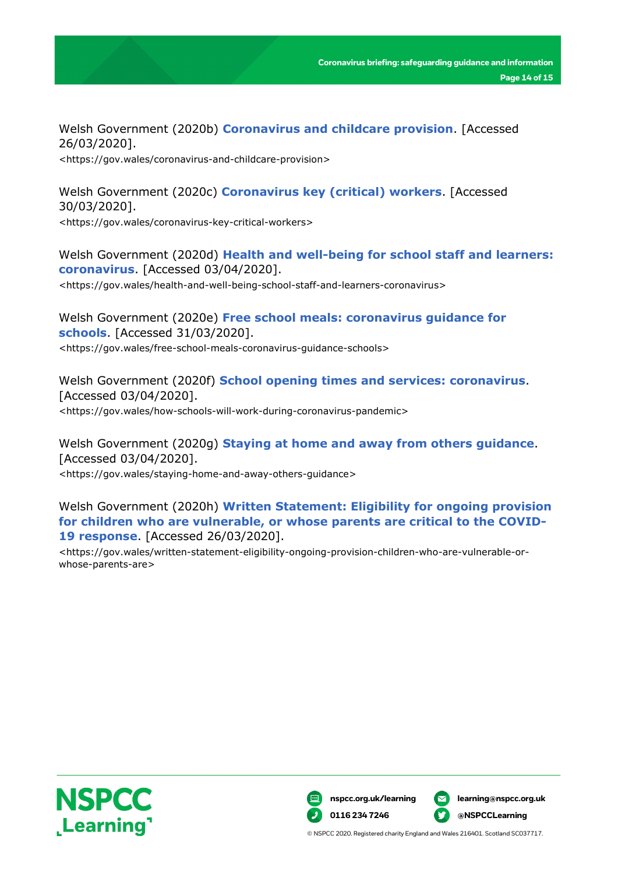Welsh Government (2020b) **[Coronavirus and childcare provision](https://gov.wales/coronavirus-and-childcare-provision)**. [Accessed 26/03/2020].

<https://gov.wales/coronavirus-and-childcare-provision>

Welsh Government (2020c) **[Coronavirus key \(critical\) workers](https://gov.wales/coronavirus-key-critical-workers)**. [Accessed 30/03/2020]. <https://gov.wales/coronavirus-key-critical-workers>

Welsh Government (2020d) **[Health and well-being for school staff and learners:](https://gov.wales/health-and-well-being-school-staff-and-learners-coronavirus)  [coronavirus](https://gov.wales/health-and-well-being-school-staff-and-learners-coronavirus)**. [Accessed 03/04/2020].

<https://gov.wales/health-and-well-being-school-staff-and-learners-coronavirus>

Welsh Government (2020e) **[Free school meals: coronavirus guidance for](https://gov.wales/free-school-meals-coronavirus-guidance-schools)  [schools](https://gov.wales/free-school-meals-coronavirus-guidance-schools)**. [Accessed 31/03/2020]. <https://gov.wales/free-school-meals-coronavirus-guidance-schools>

Welsh Government (2020f) **[School opening times and services: coronavirus](https://gov.wales/how-schools-will-work-during-coronavirus-pandemic)**. [Accessed 03/04/2020]. <https://gov.wales/how-schools-will-work-during-coronavirus-pandemic>

Welsh Government (2020g) **[Staying at home and away from others guidance](https://gov.wales/staying-home-and-away-others-guidance)**. [Accessed 03/04/2020]. <https://gov.wales/staying-home-and-away-others-guidance>

Welsh Government (2020h) **[Written Statement: Eligibility for ongoing provision](https://gov.wales/written-statement-eligibility-ongoing-provision-children-who-are-vulnerable-or-whose-parents-are)  [for children who are vulnerable, or whose parents are critical to the COVID-](https://gov.wales/written-statement-eligibility-ongoing-provision-children-who-are-vulnerable-or-whose-parents-are)[19 response](https://gov.wales/written-statement-eligibility-ongoing-provision-children-who-are-vulnerable-or-whose-parents-are)**. [Accessed 26/03/2020].

<https://gov.wales/written-statement-eligibility-ongoing-provision-children-who-are-vulnerable-orwhose-parents-are>